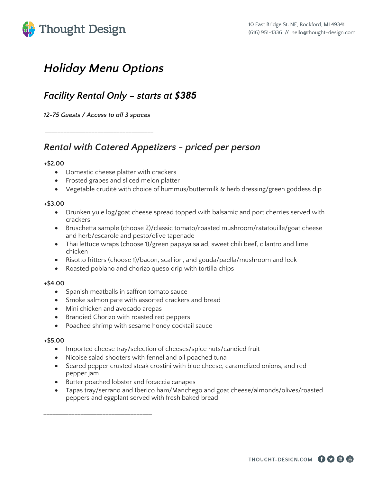



# *Holiday Menu Options*

### *Facility Rental Only – starts at \$385*

*12-75 Guests / Access to all 3 spaces* 

*\_\_\_\_\_\_\_\_\_\_\_\_\_\_\_\_\_\_\_\_\_\_\_\_\_\_\_\_\_\_\_\_\_\_\_* 

### *Rental with Catered Appetizers - priced per person*

#### **+\$2.00**

- Domestic cheese platter with crackers
- Frosted grapes and sliced melon platter
- Vegetable crudité with choice of hummus/buttermilk & herb dressing/green goddess dip

#### **+\$3.00**

- Drunken yule log/goat cheese spread topped with balsamic and port cherries served with crackers
- Bruschetta sample (choose 2)/classic tomato/roasted mushroom/ratatouille/goat cheese and herb/escarole and pesto/olive tapenade
- Thai lettuce wraps (choose 1)/green papaya salad, sweet chili beef, cilantro and lime chicken
- Risotto fritters (choose 1)/bacon, scallion, and gouda/paella/mushroom and leek
- Roasted poblano and chorizo queso drip with tortilla chips

#### **+\$4.00**

- Spanish meatballs in saffron tomato sauce
- Smoke salmon pate with assorted crackers and bread
- Mini chicken and avocado arepas

*\_\_\_\_\_\_\_\_\_\_\_\_\_\_\_\_\_\_\_\_\_\_\_\_\_\_\_\_\_\_\_\_\_\_\_*

- Brandied Chorizo with roasted red peppers
- Poached shrimp with sesame honey cocktail sauce

#### **+\$5.00**

- Imported cheese tray/selection of cheeses/spice nuts/candied fruit
- Nicoise salad shooters with fennel and oil poached tuna
- Seared pepper crusted steak crostini with blue cheese, caramelized onions, and red pepper jam
- Butter poached lobster and focaccia canapes
- Tapas tray/serrano and Iberico ham/Manchego and goat cheese/almonds/olives/roasted peppers and eggplant served with fresh baked bread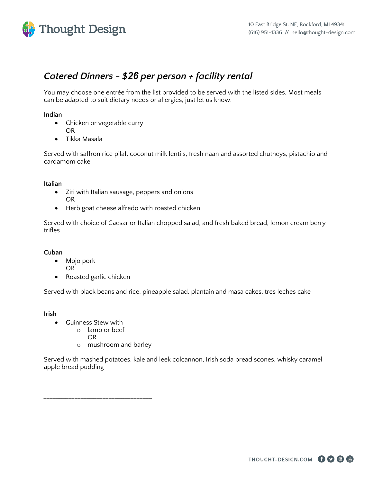

### *Catered Dinners - \$26 per person + facility rental*

You may choose one entrée from the list provided to be served with the listed sides. Most meals can be adapted to suit dietary needs or allergies, just let us know.

#### **Indian**

- Chicken or vegetable curry OR
- Tikka Masala

Served with saffron rice pilaf, coconut milk lentils, fresh naan and assorted chutneys, pistachio and cardamom cake

#### **Italian**

- Ziti with Italian sausage, peppers and onions OR
- Herb goat cheese alfredo with roasted chicken

Served with choice of Caesar or Italian chopped salad, and fresh baked bread, lemon cream berry trifles

#### **Cuban**

- Mojo pork
- OR
- Roasted garlic chicken

Served with black beans and rice, pineapple salad, plantain and masa cakes, tres leches cake

**Irish**

- Guinness Stew with
	- o lamb or beef

*\_\_\_\_\_\_\_\_\_\_\_\_\_\_\_\_\_\_\_\_\_\_\_\_\_\_\_\_\_\_\_\_\_\_\_*

- OR
- o mushroom and barley

Served with mashed potatoes, kale and leek colcannon, Irish soda bread scones, whisky caramel apple bread pudding